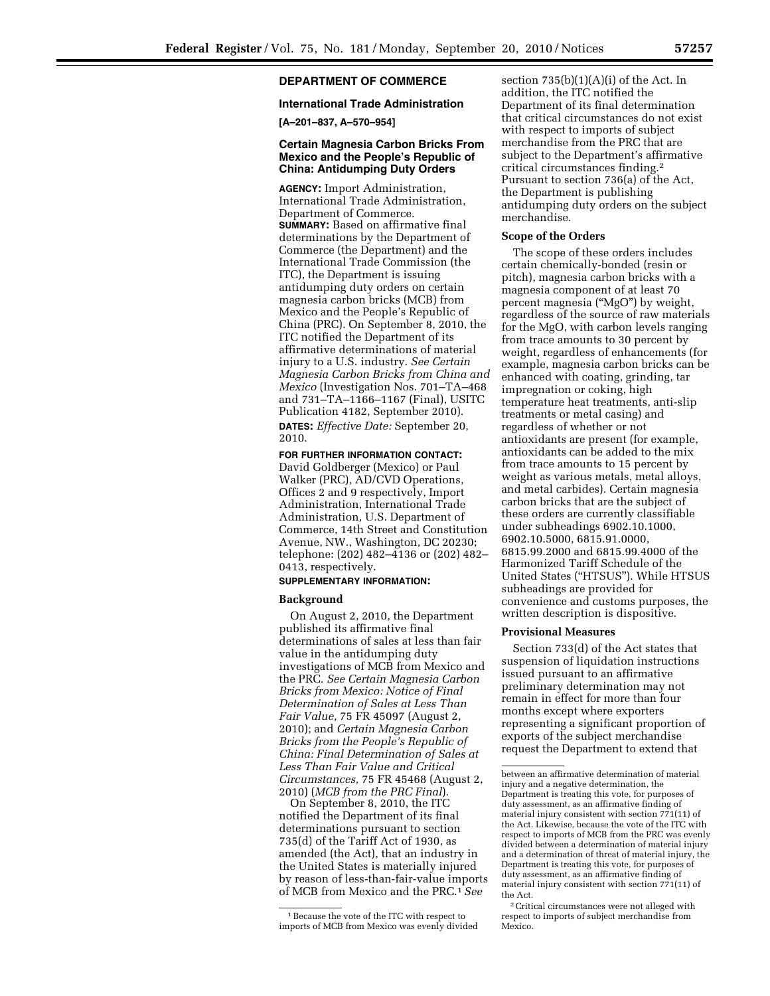# **DEPARTMENT OF COMMERCE**

## **International Trade Administration**

**[A–201–837, A–570–954]** 

### **Certain Magnesia Carbon Bricks From Mexico and the People's Republic of China: Antidumping Duty Orders**

**AGENCY:** Import Administration, International Trade Administration, Department of Commerce. **SUMMARY:** Based on affirmative final determinations by the Department of Commerce (the Department) and the International Trade Commission (the ITC), the Department is issuing antidumping duty orders on certain magnesia carbon bricks (MCB) from Mexico and the People's Republic of China (PRC). On September 8, 2010, the ITC notified the Department of its affirmative determinations of material injury to a U.S. industry. *See Certain Magnesia Carbon Bricks from China and Mexico* (Investigation Nos. 701–TA–468 and 731–TA–1166–1167 (Final), USITC Publication 4182, September 2010). **DATES:** *Effective Date:* September 20, 2010.

#### **FOR FURTHER INFORMATION CONTACT:**

David Goldberger (Mexico) or Paul Walker (PRC), AD/CVD Operations, Offices 2 and 9 respectively, Import Administration, International Trade Administration, U.S. Department of Commerce, 14th Street and Constitution Avenue, NW., Washington, DC 20230; telephone: (202) 482–4136 or (202) 482– 0413, respectively.

## **SUPPLEMENTARY INFORMATION:**

### **Background**

On August 2, 2010, the Department published its affirmative final determinations of sales at less than fair value in the antidumping duty investigations of MCB from Mexico and the PRC. *See Certain Magnesia Carbon Bricks from Mexico: Notice of Final Determination of Sales at Less Than Fair Value,* 75 FR 45097 (August 2, 2010); and *Certain Magnesia Carbon Bricks from the People's Republic of China: Final Determination of Sales at Less Than Fair Value and Critical Circumstances,* 75 FR 45468 (August 2, 2010) (*MCB from the PRC Final*).

On September 8, 2010, the ITC notified the Department of its final determinations pursuant to section 735(d) of the Tariff Act of 1930, as amended (the Act), that an industry in the United States is materially injured by reason of less-than-fair-value imports of MCB from Mexico and the PRC.1*See* 

section  $735(b)(1)(A)(i)$  of the Act. In addition, the ITC notified the Department of its final determination that critical circumstances do not exist with respect to imports of subject merchandise from the PRC that are subject to the Department's affirmative critical circumstances finding.2 Pursuant to section 736(a) of the Act, the Department is publishing antidumping duty orders on the subject merchandise.

#### **Scope of the Orders**

The scope of these orders includes certain chemically-bonded (resin or pitch), magnesia carbon bricks with a magnesia component of at least 70 percent magnesia (''MgO'') by weight, regardless of the source of raw materials for the MgO, with carbon levels ranging from trace amounts to 30 percent by weight, regardless of enhancements (for example, magnesia carbon bricks can be enhanced with coating, grinding, tar impregnation or coking, high temperature heat treatments, anti-slip treatments or metal casing) and regardless of whether or not antioxidants are present (for example, antioxidants can be added to the mix from trace amounts to 15 percent by weight as various metals, metal alloys, and metal carbides). Certain magnesia carbon bricks that are the subject of these orders are currently classifiable under subheadings 6902.10.1000, 6902.10.5000, 6815.91.0000, 6815.99.2000 and 6815.99.4000 of the Harmonized Tariff Schedule of the United States (''HTSUS''). While HTSUS subheadings are provided for convenience and customs purposes, the written description is dispositive.

#### **Provisional Measures**

Section 733(d) of the Act states that suspension of liquidation instructions issued pursuant to an affirmative preliminary determination may not remain in effect for more than four months except where exporters representing a significant proportion of exports of the subject merchandise request the Department to extend that

<sup>1</sup>Because the vote of the ITC with respect to imports of MCB from Mexico was evenly divided

between an affirmative determination of material injury and a negative determination, the Department is treating this vote, for purposes of duty assessment, as an affirmative finding of material injury consistent with section  $771(11)$  of the Act. Likewise, because the vote of the ITC with respect to imports of MCB from the PRC was evenly divided between a determination of material injury and a determination of threat of material injury, the Department is treating this vote, for purposes of duty assessment, as an affirmative finding of material injury consistent with section 771(11) of the Act.

<sup>2</sup>Critical circumstances were not alleged with respect to imports of subject merchandise from Mexico.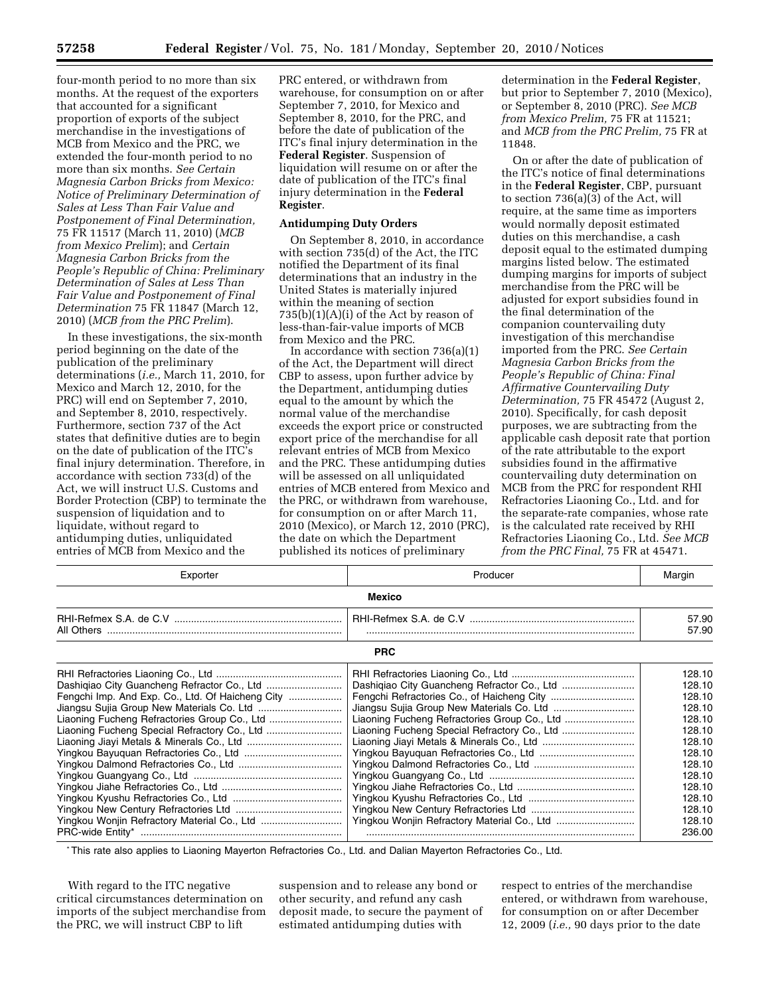four-month period to no more than six months. At the request of the exporters that accounted for a significant proportion of exports of the subject merchandise in the investigations of MCB from Mexico and the PRC, we extended the four-month period to no more than six months. *See Certain Magnesia Carbon Bricks from Mexico: Notice of Preliminary Determination of Sales at Less Than Fair Value and Postponement of Final Determination,*  75 FR 11517 (March 11, 2010) (*MCB from Mexico Prelim*); and *Certain Magnesia Carbon Bricks from the People's Republic of China: Preliminary Determination of Sales at Less Than Fair Value and Postponement of Final Determination* 75 FR 11847 (March 12, 2010) (*MCB from the PRC Prelim*).

In these investigations, the six-month period beginning on the date of the publication of the preliminary determinations (*i.e.,* March 11, 2010, for Mexico and March 12, 2010, for the PRC) will end on September 7, 2010, and September 8, 2010, respectively. Furthermore, section 737 of the Act states that definitive duties are to begin on the date of publication of the ITC's final injury determination. Therefore, in accordance with section 733(d) of the Act, we will instruct U.S. Customs and Border Protection (CBP) to terminate the suspension of liquidation and to liquidate, without regard to antidumping duties, unliquidated entries of MCB from Mexico and the

PRC entered, or withdrawn from warehouse, for consumption on or after September 7, 2010, for Mexico and September 8, 2010, for the PRC, and before the date of publication of the ITC's final injury determination in the **Federal Register**. Suspension of liquidation will resume on or after the date of publication of the ITC's final injury determination in the **Federal Register**.

## **Antidumping Duty Orders**

On September 8, 2010, in accordance with section 735(d) of the Act, the ITC notified the Department of its final determinations that an industry in the United States is materially injured within the meaning of section  $735(b)(1)(A)(i)$  of the Act by reason of less-than-fair-value imports of MCB from Mexico and the PRC.

In accordance with section 736(a)(1) of the Act, the Department will direct CBP to assess, upon further advice by the Department, antidumping duties equal to the amount by which the normal value of the merchandise exceeds the export price or constructed export price of the merchandise for all relevant entries of MCB from Mexico and the PRC. These antidumping duties will be assessed on all unliquidated entries of MCB entered from Mexico and the PRC, or withdrawn from warehouse, for consumption on or after March 11, 2010 (Mexico), or March 12, 2010 (PRC), the date on which the Department published its notices of preliminary

determination in the **Federal Register**, but prior to September 7, 2010 (Mexico), or September 8, 2010 (PRC). *See MCB from Mexico Prelim,* 75 FR at 11521; and *MCB from the PRC Prelim,* 75 FR at 11848.

On or after the date of publication of the ITC's notice of final determinations in the **Federal Register**, CBP, pursuant to section 736(a)(3) of the Act, will require, at the same time as importers would normally deposit estimated duties on this merchandise, a cash deposit equal to the estimated dumping margins listed below. The estimated dumping margins for imports of subject merchandise from the PRC will be adjusted for export subsidies found in the final determination of the companion countervailing duty investigation of this merchandise imported from the PRC. *See Certain Magnesia Carbon Bricks from the People's Republic of China: Final Affirmative Countervailing Duty Determination,* 75 FR 45472 (August 2, 2010). Specifically, for cash deposit purposes, we are subtracting from the applicable cash deposit rate that portion of the rate attributable to the export subsidies found in the affirmative countervailing duty determination on MCB from the PRC for respondent RHI Refractories Liaoning Co., Ltd. and for the separate-rate companies, whose rate is the calculated rate received by RHI Refractories Liaoning Co., Ltd. *See MCB from the PRC Final,* 75 FR at 45471.

| Exporter                                     | Producer                                     | Margin |
|----------------------------------------------|----------------------------------------------|--------|
| <b>Mexico</b>                                |                                              |        |
|                                              |                                              | 57.90  |
|                                              |                                              | 57.90  |
| <b>PRC</b>                                   |                                              |        |
|                                              |                                              | 128.10 |
|                                              |                                              | 128.10 |
|                                              |                                              | 128.10 |
|                                              |                                              | 128.10 |
| Liaoning Fucheng Refractories Group Co., Ltd | Liaoning Fucheng Refractories Group Co., Ltd | 128.10 |
|                                              |                                              | 128.10 |
|                                              |                                              | 128.10 |
|                                              |                                              | 128.10 |
|                                              |                                              | 128.10 |
|                                              |                                              | 128.10 |
|                                              |                                              | 128.10 |
|                                              |                                              | 128.10 |
|                                              |                                              | 128.10 |
|                                              |                                              | 128.10 |
|                                              |                                              | 236.00 |

\*This rate also applies to Liaoning Mayerton Refractories Co., Ltd. and Dalian Mayerton Refractories Co., Ltd.

With regard to the ITC negative critical circumstances determination on imports of the subject merchandise from the PRC, we will instruct CBP to lift

suspension and to release any bond or other security, and refund any cash deposit made, to secure the payment of estimated antidumping duties with

respect to entries of the merchandise entered, or withdrawn from warehouse, for consumption on or after December 12, 2009 (*i.e.,* 90 days prior to the date